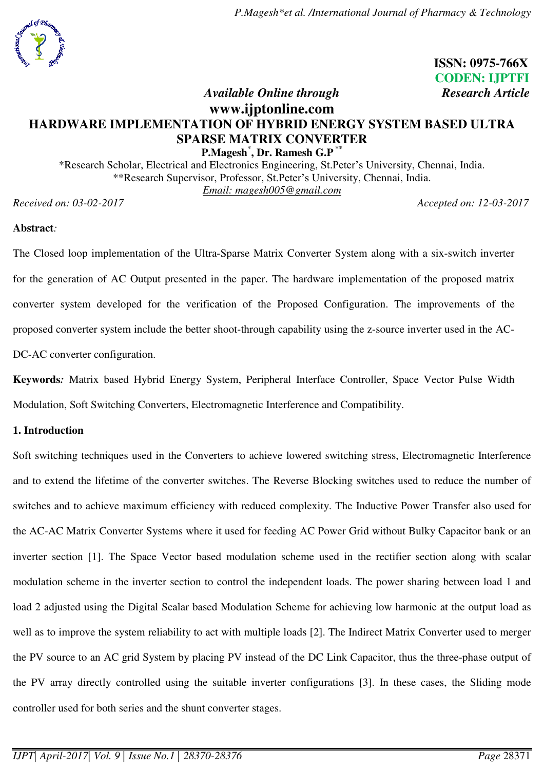### **ISSN: 0975-766X CODEN: IJPTFI**  *Available Online through* **Research Article Research Article**

## **[www.ijptonline.com](http://www.ijptonline.com/)  HARDWARE IMPLEMENTATION OF HYBRID ENERGY SYSTEM BASED ULTRA SPARSE MATRIX CONVERTER**

**P.Magesh\* , Dr. Ramesh G.P \*\*** \*Research Scholar, Electrical and Electronics Engineering, St.Peter's University, Chennai, India. \*\*Research Supervisor, Professor, St.Peter's University, Chennai, India. *Email: magesh005@gmail.com* 

*Received on: 03-02-2017 Accepted on: 12-03-2017* 

### **Abstract***:*

The Closed loop implementation of the Ultra-Sparse Matrix Converter System along with a six-switch inverter for the generation of AC Output presented in the paper. The hardware implementation of the proposed matrix converter system developed for the verification of the Proposed Configuration. The improvements of the proposed converter system include the better shoot-through capability using the z-source inverter used in the AC-DC-AC converter configuration.

**Keywords***:* Matrix based Hybrid Energy System, Peripheral Interface Controller, Space Vector Pulse Width Modulation, Soft Switching Converters, Electromagnetic Interference and Compatibility.

### **1. Introduction**

Soft switching techniques used in the Converters to achieve lowered switching stress, Electromagnetic Interference and to extend the lifetime of the converter switches. The Reverse Blocking switches used to reduce the number of switches and to achieve maximum efficiency with reduced complexity. The Inductive Power Transfer also used for the AC-AC Matrix Converter Systems where it used for feeding AC Power Grid without Bulky Capacitor bank or an inverter section [1]. The Space Vector based modulation scheme used in the rectifier section along with scalar modulation scheme in the inverter section to control the independent loads. The power sharing between load 1 and load 2 adjusted using the Digital Scalar based Modulation Scheme for achieving low harmonic at the output load as well as to improve the system reliability to act with multiple loads [2]. The Indirect Matrix Converter used to merger the PV source to an AC grid System by placing PV instead of the DC Link Capacitor, thus the three-phase output of the PV array directly controlled using the suitable inverter configurations [3]. In these cases, the Sliding mode controller used for both series and the shunt converter stages.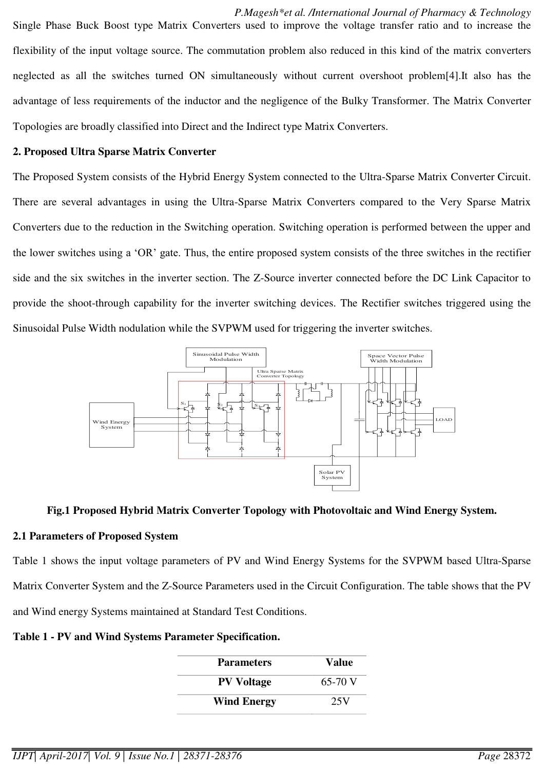*P.Magesh\*et al. /International Journal of Pharmacy & Technology*  Single Phase Buck Boost type Matrix Converters used to improve the voltage transfer ratio and to increase the flexibility of the input voltage source. The commutation problem also reduced in this kind of the matrix converters neglected as all the switches turned ON simultaneously without current overshoot problem[4].It also has the advantage of less requirements of the inductor and the negligence of the Bulky Transformer. The Matrix Converter Topologies are broadly classified into Direct and the Indirect type Matrix Converters.

### **2. Proposed Ultra Sparse Matrix Converter**

The Proposed System consists of the Hybrid Energy System connected to the Ultra-Sparse Matrix Converter Circuit. There are several advantages in using the Ultra-Sparse Matrix Converters compared to the Very Sparse Matrix Converters due to the reduction in the Switching operation. Switching operation is performed between the upper and the lower switches using a 'OR' gate. Thus, the entire proposed system consists of the three switches in the rectifier side and the six switches in the inverter section. The Z-Source inverter connected before the DC Link Capacitor to provide the shoot-through capability for the inverter switching devices. The Rectifier switches triggered using the Sinusoidal Pulse Width nodulation while the SVPWM used for triggering the inverter switches.



### **Fig.1 Proposed Hybrid Matrix Converter Topology with Photovoltaic and Wind Energy System.**

### **2.1 Parameters of Proposed System**

Table 1 shows the input voltage parameters of PV and Wind Energy Systems for the SVPWM based Ultra-Sparse Matrix Converter System and the Z-Source Parameters used in the Circuit Configuration. The table shows that the PV and Wind energy Systems maintained at Standard Test Conditions.

### **Table 1 - PV and Wind Systems Parameter Specification.**

| <b>Parameters</b>  | Value   |
|--------------------|---------|
| <b>PV Voltage</b>  | 65-70 V |
| <b>Wind Energy</b> | 25V     |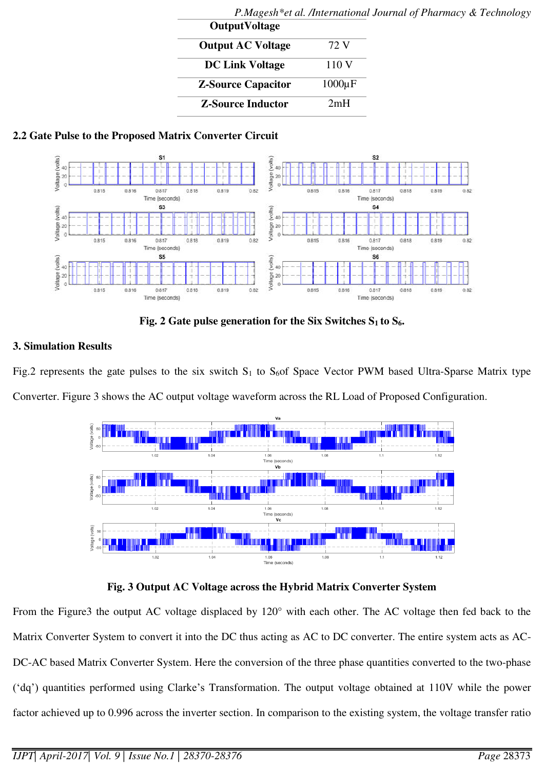| <b>OutputVoltage</b> |  |
|----------------------|--|
| 72 V                 |  |
| 110 V                |  |
| $1000\mu F$          |  |
| 2mH                  |  |
|                      |  |

# *P.Magesh\*et al. /International Journal of Pharmacy & Technology*

## **2.2 Gate Pulse to the Proposed Matrix Converter Circuit**



**Fig. 2 Gate pulse generation for the Six Switches**  $S_1$  **to**  $S_6$ **.** 

## **3. Simulation Results**

Fig.2 represents the gate pulses to the six switch  $S_1$  to  $S_6$  Space Vector PWM based Ultra-Sparse Matrix type Converter. Figure 3 shows the AC output voltage waveform across the RL Load of Proposed Configuration.



## **Fig. 3 Output AC Voltage across the Hybrid Matrix Converter System**

From the Figure3 the output AC voltage displaced by 120° with each other. The AC voltage then fed back to the Matrix Converter System to convert it into the DC thus acting as AC to DC converter. The entire system acts as AC-DC-AC based Matrix Converter System. Here the conversion of the three phase quantities converted to the two-phase ('dq') quantities performed using Clarke's Transformation. The output voltage obtained at 110V while the power factor achieved up to 0.996 across the inverter section. In comparison to the existing system, the voltage transfer ratio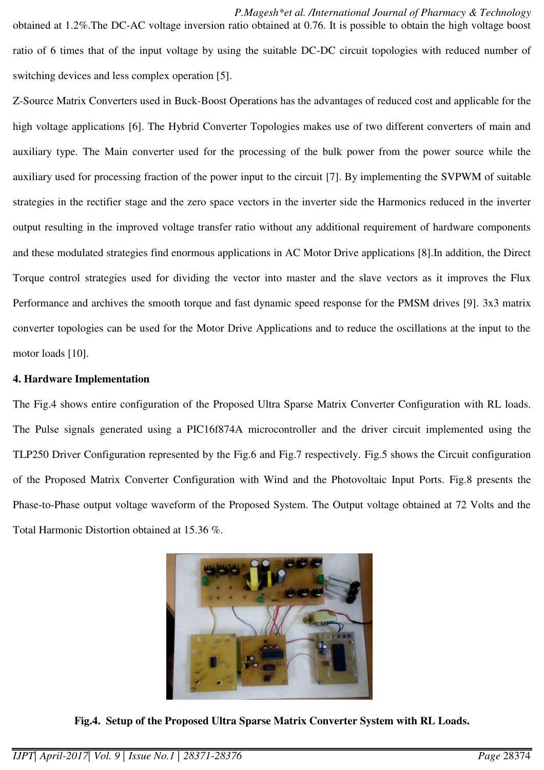Z-Source Matrix Converters used in Buck-Boost Operations has the advantages of reduced cost and applicable for the high voltage applications [6]. The Hybrid Converter Topologies makes use of two different converters of main and auxiliary type. The Main converter used for the processing of the bulk power from the power source while the auxiliary used for processing fraction of the power input to the circuit [7]. By implementing the SVPWM of suitable strategies in the rectifier stage and the zero space vectors in the inverter side the Harmonics reduced in the inverter output resulting in the improved voltage transfer ratio without any additional requirement of hardware components and these modulated strategies find enormous applications in AC Motor Drive applications [8].In addition, the Direct Torque control strategies used for dividing the vector into master and the slave vectors as it improves the Flux Performance and archives the smooth torque and fast dynamic speed response for the PMSM drives [9]. 3x3 matrix converter topologies can be used for the Motor Drive Applications and to reduce the oscillations at the input to the motor loads [10].

### **4. Hardware Implementation**

The Fig.4 shows entire configuration of the Proposed Ultra Sparse Matrix Converter Configuration with RL loads. The Pulse signals generated using a PIC16f874A microcontroller and the driver circuit implemented using the TLP250 Driver Configuration represented by the Fig.6 and Fig.7 respectively. Fig.5 shows the Circuit configuration of the Proposed Matrix Converter Configuration with Wind and the Photovoltaic Input Ports. Fig.8 presents the Phase-to-Phase output voltage waveform of the Proposed System. The Output voltage obtained at 72 Volts and the Total Harmonic Distortion obtained at 15.36 %.



**Fig.4. Setup of the Proposed Ultra Sparse Matrix Converter System with RL Loads.**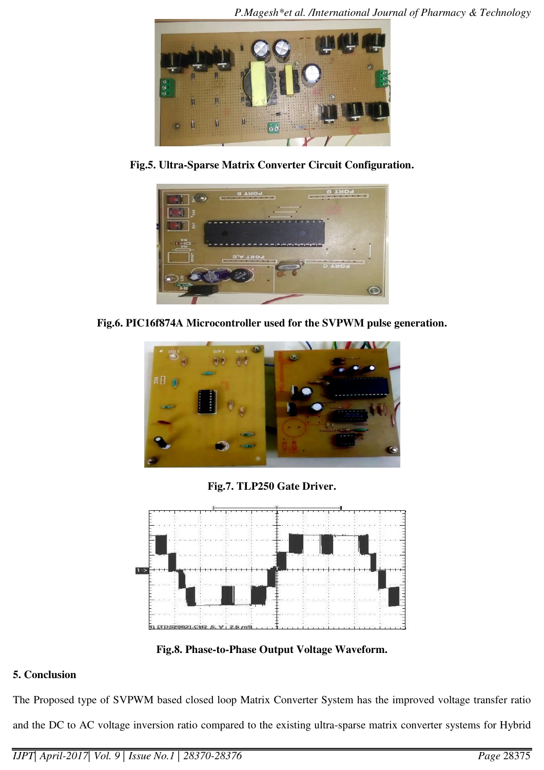

**Fig.5. Ultra-Sparse Matrix Converter Circuit Configuration.** 



**Fig.6. PIC16f874A Microcontroller used for the SVPWM pulse generation.** 



**Fig.7. TLP250 Gate Driver.** 



**Fig.8. Phase-to-Phase Output Voltage Waveform.** 

## **5. Conclusion**

The Proposed type of SVPWM based closed loop Matrix Converter System has the improved voltage transfer ratio and the DC to AC voltage inversion ratio compared to the existing ultra-sparse matrix converter systems for Hybrid